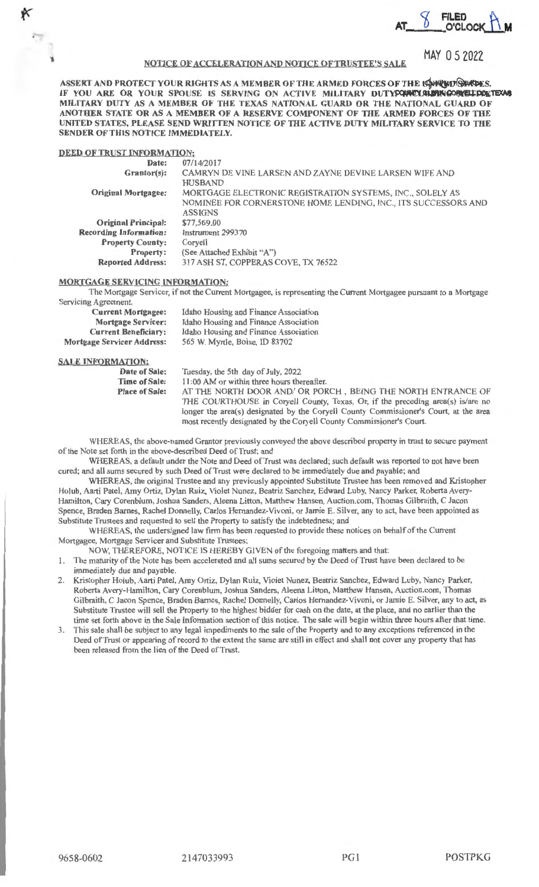$AT \, \, \frac{8}{2}$  **FILED AT A** 

# **NOTICE OF ACCELERATION AND NOTICE OF TRUSTEE'S SALE**

MAY O 5 2022

NOTICE OF ACCELERATION AND NOTICE OF TRUSTEE'S SALE MAY 0 5 2022<br>ASSERT AND PROTECT YOUR RIGHTS AS A MEMBER OF THE ARMED FORCES OF THE USPRED SPACES.<br>IF YOU ARE OR YOUR SPOUSE IS SERVING ON ACTIVE MILITARY DUTY<del>CONCLOURING</del> **MILITARY DUTY AS A MEMBER OF THE TEXAS NATIONAL GUARD OR THE NATIONAL GUARD OF**  ANOTHER STATE OR AS A MEMBER OF A RESERVE COMPONENT OF THE ARMED FORCES OF THE **UNITED STATES, PLEASE SEND WRITTEN NOTICE OF THE ACTIVE DUTY MILITARY SERVICE TO THE SENDER OFTHIS NOTICE IMMEDIATELY.** 

## **DEED OF TRUST INFORMATION:**

**l** 

| Date:                         | 07/14/2017                                                     |
|-------------------------------|----------------------------------------------------------------|
| Grantor(s):                   | CAMRYN DE VINE LARSEN AND ZAYNE DEVINE LARSEN WIFE AND         |
|                               | <b>HUSBAND</b>                                                 |
| <b>Original Mortgagee:</b>    | MORTGAGE ELECTRONIC REGISTRATION SYSTEMS, INC., SOLELY AS      |
|                               | NOMINEE FOR CORNERSTONE HOME LENDING, INC., ITS SUCCESSORS AND |
|                               | <b>ASSIGNS</b>                                                 |
| <b>Original Principal:</b>    | \$77,569.00                                                    |
| <b>Recording Information:</b> | Instrument 299370                                              |
| <b>Property County:</b>       | Corvell                                                        |
| <b>Property:</b>              | (See Attached Exhibit "A")                                     |
| <b>Reported Address:</b>      | 317 ASH ST, COPPERAS COVE, TX 76522                            |
|                               |                                                                |

# **MORTGAGE SERVICING INFORMATION:**

The Mortgage Servicer, if not the Current Mortgagee, is representing the Current Mortgagee pursuant to a Mortgage Servicing Agreement.

| <b>Current Mortgagee:</b>         | Idaho Housing and Finance Association |
|-----------------------------------|---------------------------------------|
| <b>Mortgage Servicer:</b>         | Idaho Housing and Finance Association |
| <b>Current Beneficiary:</b>       | Idaho Housing and Finance Association |
| <b>Mortgage Servicer Address:</b> | 565 W. Myrtle, Boise, ID 83702        |

#### **SALE INFORMATION:**

| Date of Sale:         | Tuesday, the 5th day of July, 2022                                                    |
|-----------------------|---------------------------------------------------------------------------------------|
| <b>Time of Sale:</b>  | 11:00 AM or within three hours thereafter.                                            |
| <b>Place of Sale:</b> | AT THE NORTH DOOR AND/ OR PORCH, BEING THE NORTH ENTRANCE OF                          |
|                       | THE COURTHOUSE in Coryell County, Texas, Or, if the preceding area(s) is/are no       |
|                       | longer the area(s) designated by the Coryell County Commissioner's Court, at the area |
|                       | most recently designated by the Coryell County Commissioner's Court.                  |

WHEREAS, the above-named Grantor previously conveyed the above described property in trust to secure payment of the Note set forth in the above-described Deed of Trust; and

WHEREAS, a default under the Note and Deed of Trust was declared; such default was reported to not have been cured; and all sums secured by such Deed of Trust were declared to be immediately due and payable; and

WHEREAS, the original Trustee and any previously appointed Substitute Trustee has been removed and Kristopher Holub, Aarti Patel, Amy Ortiz, Dylan Ruiz, Violet Nunez, Beatriz Sanchez, Edward Luby, Nancy Parker, Roberta Avery-Hamilton, Cary Corenblum, Joshua Sanders, Aleena Litton, Matthew Hansen, Auction.com, Thomas Gilbraith, C Jacon Spence, Braden Barnes, Rachel Donnelly, Carlos Hernandez-Vivoni, or Jamie E. Silver, any to act, have been appointed as Substitute Trustees and requested to sell the Property to satisfy the indebtedness; and

WHEREAS, the undersigned law firm has been requested to provide these notices on behalf of the Current Mortgagee. Mortgage Servicer and Substitute Trustees:

NOW, THEREFORE, NOTICE JS HEREBY GIVEN of the foregoing matters and that:

1. The maturity of the Note has been accelerated and all sums secured by the Deed of Trust have been declared to be immediately due and payable.

2. Kristopher Holub, Aarti Patel, Amy Ortiz, Dylan Ruiz, Violet Nunez, Beatriz Sanchez, Edward Luby, Nancy Parker, Roberta Avery-Hamilton, Cary Corenblurn, Joshua Sanders, Aleena Litton, Matthew Hansen, Auction.com, Thomas Gilbraith, C Jacon Spence, Braden Barnes, Rachel Donnelly, Carlos Hemandez-Vivoni, or Jamie E. Silver, any to act, as Substitute Trustee will sell the Property to the highest bidder for cash on the date, at the place, and no earlier than the time set forth above in the Sale Information section of this notice. The sale will begin within three hours after that time.

3. This sale shall be subject to any legal impediments to the sale of the Property and to any exceptions referenced in the Deed of Trust or appearing of record to the extent the same are still in effect and shall not cover any property that has been released from the lien of the Deed of Trust.